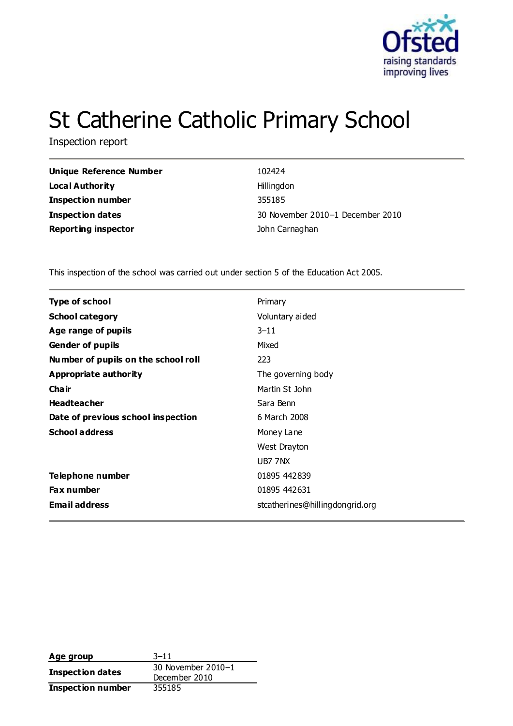

# St Catherine Catholic Primary School

Inspection report

| <b>Unique Reference Number</b> | 102424                           |
|--------------------------------|----------------------------------|
| <b>Local Authority</b>         | Hillingdon                       |
| <b>Inspection number</b>       | 355185                           |
| <b>Inspection dates</b>        | 30 November 2010-1 December 2010 |
| <b>Reporting inspector</b>     | John Carnaghan                   |

This inspection of the school was carried out under section 5 of the Education Act 2005.

| <b>Type of school</b>               | Primary                         |
|-------------------------------------|---------------------------------|
| <b>School category</b>              | Voluntary aided                 |
| Age range of pupils                 | $3 - 11$                        |
| <b>Gender of pupils</b>             | Mixed                           |
| Number of pupils on the school roll | 223                             |
| Appropriate authority               | The governing body              |
| Cha ir                              | Martin St John                  |
| <b>Headteacher</b>                  | Sara Benn                       |
| Date of previous school inspection  | 6 March 2008                    |
| <b>School address</b>               | Money Lane                      |
|                                     | West Drayton                    |
|                                     | UB7 7NX                         |
| Telephone number                    | 01895 442839                    |
| <b>Fax number</b>                   | 01895 442631                    |
| <b>Email address</b>                | stcatherines@hillingdongrid.org |

| Age group                | $3 - 11$           |  |
|--------------------------|--------------------|--|
|                          | 30 November 2010-1 |  |
| Inspection dates         | December 2010      |  |
| <b>Inspection number</b> | 355185             |  |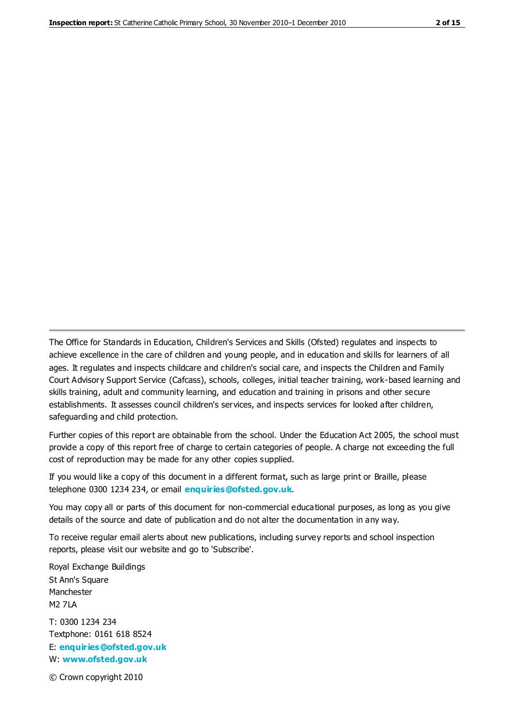The Office for Standards in Education, Children's Services and Skills (Ofsted) regulates and inspects to achieve excellence in the care of children and young people, and in education and skills for learners of all ages. It regulates and inspects childcare and children's social care, and inspects the Children and Family Court Advisory Support Service (Cafcass), schools, colleges, initial teacher training, work-based learning and skills training, adult and community learning, and education and training in prisons and other secure establishments. It assesses council children's services, and inspects services for looked after children, safeguarding and child protection.

Further copies of this report are obtainable from the school. Under the Education Act 2005, the school must provide a copy of this report free of charge to certain categories of people. A charge not exceeding the full cost of reproduction may be made for any other copies supplied.

If you would like a copy of this document in a different format, such as large print or Braille, please telephone 0300 1234 234, or email **[enquiries@ofsted.gov.uk](mailto:enquiries@ofsted.gov.uk)**.

You may copy all or parts of this document for non-commercial educational purposes, as long as you give details of the source and date of publication and do not alter the documentation in any way.

To receive regular email alerts about new publications, including survey reports and school inspection reports, please visit our website and go to 'Subscribe'.

Royal Exchange Buildings St Ann's Square Manchester M2 7LA T: 0300 1234 234 Textphone: 0161 618 8524 E: **[enquiries@ofsted.gov.uk](mailto:enquiries@ofsted.gov.uk)**

W: **[www.ofsted.gov.uk](http://www.ofsted.gov.uk/)**

© Crown copyright 2010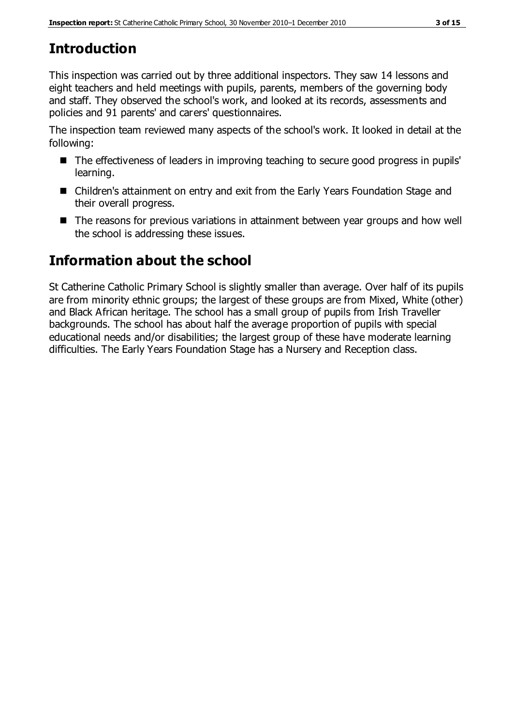# **Introduction**

This inspection was carried out by three additional inspectors. They saw 14 lessons and eight teachers and held meetings with pupils, parents, members of the governing body and staff. They observed the school's work, and looked at its records, assessments and policies and 91 parents' and carers' questionnaires.

The inspection team reviewed many aspects of the school's work. It looked in detail at the following:

- The effectiveness of leaders in improving teaching to secure good progress in pupils' learning.
- Children's attainment on entry and exit from the Early Years Foundation Stage and their overall progress.
- The reasons for previous variations in attainment between year groups and how well the school is addressing these issues.

# **Information about the school**

St Catherine Catholic Primary School is slightly smaller than average. Over half of its pupils are from minority ethnic groups; the largest of these groups are from Mixed, White (other) and Black African heritage. The school has a small group of pupils from Irish Traveller backgrounds. The school has about half the average proportion of pupils with special educational needs and/or disabilities; the largest group of these have moderate learning difficulties. The Early Years Foundation Stage has a Nursery and Reception class.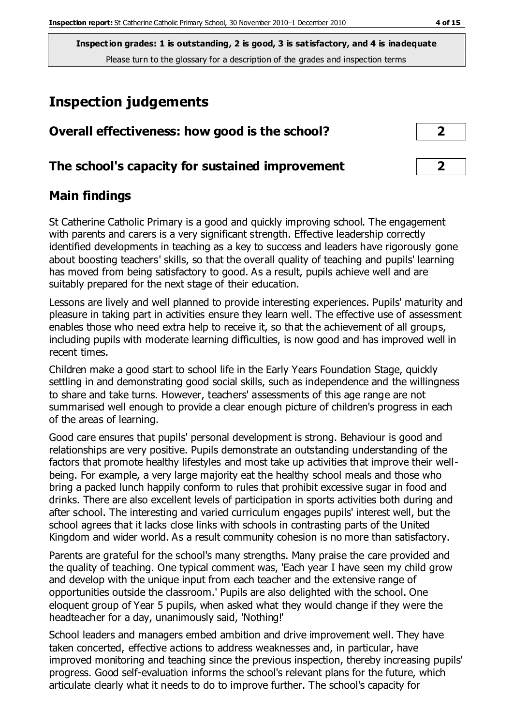# **Inspection judgements**

| Overall effectiveness: how good is the school?  | $\overline{\mathbf{2}}$ |
|-------------------------------------------------|-------------------------|
| The school's capacity for sustained improvement | $\overline{\mathbf{2}}$ |

## **Main findings**

St Catherine Catholic Primary is a good and quickly improving school. The engagement with parents and carers is a very significant strength. Effective leadership correctly identified developments in teaching as a key to success and leaders have rigorously gone about boosting teachers' skills, so that the overall quality of teaching and pupils' learning has moved from being satisfactory to good. As a result, pupils achieve well and are suitably prepared for the next stage of their education.

Lessons are lively and well planned to provide interesting experiences. Pupils' maturity and pleasure in taking part in activities ensure they learn well. The effective use of assessment enables those who need extra help to receive it, so that the achievement of all groups, including pupils with moderate learning difficulties, is now good and has improved well in recent times.

Children make a good start to school life in the Early Years Foundation Stage, quickly settling in and demonstrating good social skills, such as independence and the willingness to share and take turns. However, teachers' assessments of this age range are not summarised well enough to provide a clear enough picture of children's progress in each of the areas of learning.

Good care ensures that pupils' personal development is strong. Behaviour is good and relationships are very positive. Pupils demonstrate an outstanding understanding of the factors that promote healthy lifestyles and most take up activities that improve their wellbeing. For example, a very large majority eat the healthy school meals and those who bring a packed lunch happily conform to rules that prohibit excessive sugar in food and drinks. There are also excellent levels of participation in sports activities both during and after school. The interesting and varied curriculum engages pupils' interest well, but the school agrees that it lacks close links with schools in contrasting parts of the United Kingdom and wider world. As a result community cohesion is no more than satisfactory.

Parents are grateful for the school's many strengths. Many praise the care provided and the quality of teaching. One typical comment was, 'Each year I have seen my child grow and develop with the unique input from each teacher and the extensive range of opportunities outside the classroom.' Pupils are also delighted with the school. One eloquent group of Year 5 pupils, when asked what they would change if they were the headteacher for a day, unanimously said, 'Nothing!'

School leaders and managers embed ambition and drive improvement well. They have taken concerted, effective actions to address weaknesses and, in particular, have improved monitoring and teaching since the previous inspection, thereby increasing pupils' progress. Good self-evaluation informs the school's relevant plans for the future, which articulate clearly what it needs to do to improve further. The school's capacity for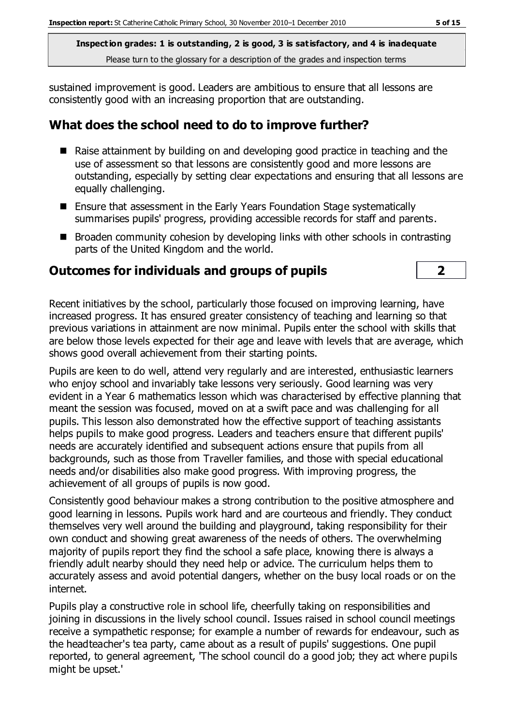sustained improvement is good. Leaders are ambitious to ensure that all lessons are consistently good with an increasing proportion that are outstanding.

#### **What does the school need to do to improve further?**

- Raise attainment by building on and developing good practice in teaching and the use of assessment so that lessons are consistently good and more lessons are outstanding, especially by setting clear expectations and ensuring that all lessons are equally challenging.
- Ensure that assessment in the Early Years Foundation Stage systematically summarises pupils' progress, providing accessible records for staff and parents.
- $\blacksquare$  Broaden community cohesion by developing links with other schools in contrasting parts of the United Kingdom and the world.

#### **Outcomes for individuals and groups of pupils 2**

Recent initiatives by the school, particularly those focused on improving learning, have increased progress. It has ensured greater consistency of teaching and learning so that previous variations in attainment are now minimal. Pupils enter the school with skills that are below those levels expected for their age and leave with levels that are average, which shows good overall achievement from their starting points.

Pupils are keen to do well, attend very regularly and are interested, enthusiastic learners who enjoy school and invariably take lessons very seriously. Good learning was very evident in a Year 6 mathematics lesson which was characterised by effective planning that meant the session was focused, moved on at a swift pace and was challenging for all pupils. This lesson also demonstrated how the effective support of teaching assistants helps pupils to make good progress. Leaders and teachers ensure that different pupils' needs are accurately identified and subsequent actions ensure that pupils from all backgrounds, such as those from Traveller families, and those with special educational needs and/or disabilities also make good progress. With improving progress, the achievement of all groups of pupils is now good.

Consistently good behaviour makes a strong contribution to the positive atmosphere and good learning in lessons. Pupils work hard and are courteous and friendly. They conduct themselves very well around the building and playground, taking responsibility for their own conduct and showing great awareness of the needs of others. The overwhelming majority of pupils report they find the school a safe place, knowing there is always a friendly adult nearby should they need help or advice. The curriculum helps them to accurately assess and avoid potential dangers, whether on the busy local roads or on the internet.

Pupils play a constructive role in school life, cheerfully taking on responsibilities and joining in discussions in the lively school council. Issues raised in school council meetings receive a sympathetic response; for example a number of rewards for endeavour, such as the headteacher's tea party, came about as a result of pupils' suggestions. One pupil reported, to general agreement, 'The school council do a good job; they act where pupils might be upset.'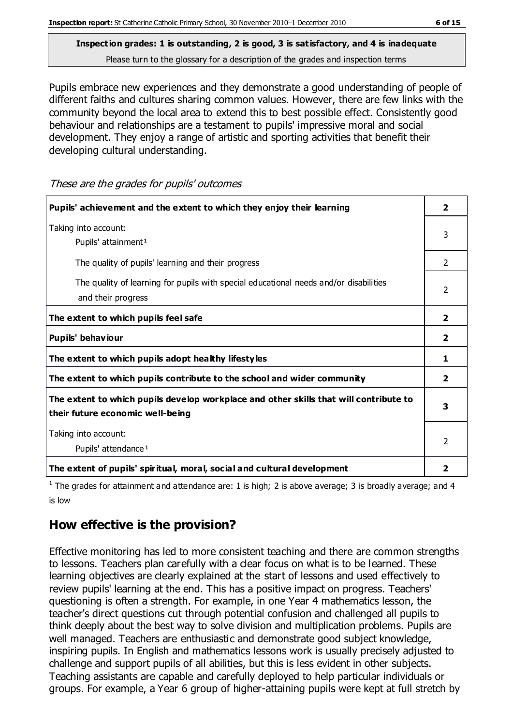Pupils embrace new experiences and they demonstrate a good understanding of people of different faiths and cultures sharing common values. However, there are few links with the community beyond the local area to extend this to best possible effect. Consistently good behaviour and relationships are a testament to pupils' impressive moral and social development. They enjoy a range of artistic and sporting activities that benefit their developing cultural understanding.

| Pupils' achievement and the extent to which they enjoy their learning                                                     | $\overline{2}$          |
|---------------------------------------------------------------------------------------------------------------------------|-------------------------|
| Taking into account:<br>Pupils' attainment <sup>1</sup>                                                                   | 3                       |
| The quality of pupils' learning and their progress                                                                        | $\mathcal{P}$           |
| The quality of learning for pupils with special educational needs and/or disabilities<br>and their progress               | 2                       |
| The extent to which pupils feel safe                                                                                      | $\overline{2}$          |
| Pupils' behaviour                                                                                                         | $\overline{\mathbf{2}}$ |
| The extent to which pupils adopt healthy lifestyles                                                                       | 1                       |
| The extent to which pupils contribute to the school and wider community                                                   | $\overline{2}$          |
| The extent to which pupils develop workplace and other skills that will contribute to<br>their future economic well-being | 3                       |
| Taking into account:<br>Pupils' attendance <sup>1</sup>                                                                   | 2                       |
| The extent of pupils' spiritual, moral, social and cultural development                                                   | 2                       |

These are the grades for pupils' outcomes

<sup>1</sup> The grades for attainment and attendance are: 1 is high; 2 is above average; 3 is broadly average; and 4 is low

#### **How effective is the provision?**

Effective monitoring has led to more consistent teaching and there are common strengths to lessons. Teachers plan carefully with a clear focus on what is to be learned. These learning objectives are clearly explained at the start of lessons and used effectively to review pupils' learning at the end. This has a positive impact on progress. Teachers' questioning is often a strength. For example, in one Year 4 mathematics lesson, the teacher's direct questions cut through potential confusion and challenged all pupils to think deeply about the best way to solve division and multiplication problems. Pupils are well managed. Teachers are enthusiastic and demonstrate good subject knowledge, inspiring pupils. In English and mathematics lessons work is usually precisely adjusted to challenge and support pupils of all abilities, but this is less evident in other subjects. Teaching assistants are capable and carefully deployed to help particular individuals or groups. For example, a Year 6 group of higher-attaining pupils were kept at full stretch by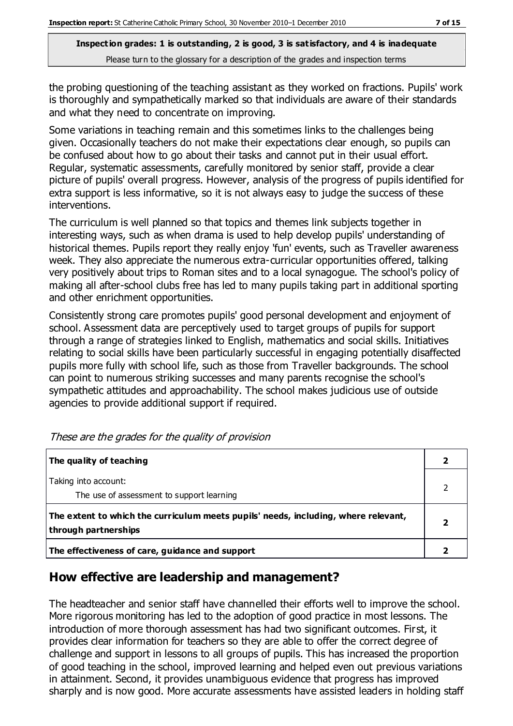the probing questioning of the teaching assistant as they worked on fractions. Pupils' work is thoroughly and sympathetically marked so that individuals are aware of their standards and what they need to concentrate on improving.

Some variations in teaching remain and this sometimes links to the challenges being given. Occasionally teachers do not make their expectations clear enough, so pupils can be confused about how to go about their tasks and cannot put in their usual effort. Regular, systematic assessments, carefully monitored by senior staff, provide a clear picture of pupils' overall progress. However, analysis of the progress of pupils identified for extra support is less informative, so it is not always easy to judge the success of these interventions.

The curriculum is well planned so that topics and themes link subjects together in interesting ways, such as when drama is used to help develop pupils' understanding of historical themes. Pupils report they really enjoy 'fun' events, such as Traveller awareness week. They also appreciate the numerous extra-curricular opportunities offered, talking very positively about trips to Roman sites and to a local synagogue. The school's policy of making all after-school clubs free has led to many pupils taking part in additional sporting and other enrichment opportunities.

Consistently strong care promotes pupils' good personal development and enjoyment of school. Assessment data are perceptively used to target groups of pupils for support through a range of strategies linked to English, mathematics and social skills. Initiatives relating to social skills have been particularly successful in engaging potentially disaffected pupils more fully with school life, such as those from Traveller backgrounds. The school can point to numerous striking successes and many parents recognise the school's sympathetic attitudes and approachability. The school makes judicious use of outside agencies to provide additional support if required.

| The quality of teaching                                                                                    |   |
|------------------------------------------------------------------------------------------------------------|---|
| Taking into account:<br>The use of assessment to support learning                                          |   |
| The extent to which the curriculum meets pupils' needs, including, where relevant,<br>through partnerships | 2 |
| The effectiveness of care, guidance and support                                                            |   |

These are the grades for the quality of provision

## **How effective are leadership and management?**

The headteacher and senior staff have channelled their efforts well to improve the school. More rigorous monitoring has led to the adoption of good practice in most lessons. The introduction of more thorough assessment has had two significant outcomes. First, it provides clear information for teachers so they are able to offer the correct degree of challenge and support in lessons to all groups of pupils. This has increased the proportion of good teaching in the school, improved learning and helped even out previous variations in attainment. Second, it provides unambiguous evidence that progress has improved sharply and is now good. More accurate assessments have assisted leaders in holding staff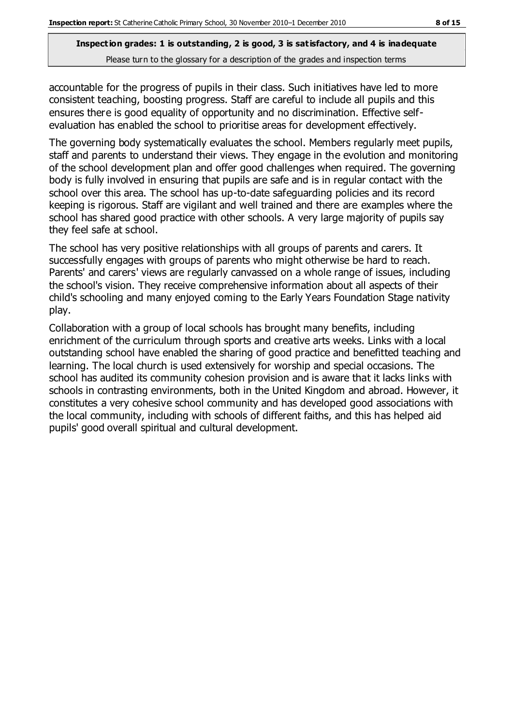accountable for the progress of pupils in their class. Such initiatives have led to more consistent teaching, boosting progress. Staff are careful to include all pupils and this ensures there is good equality of opportunity and no discrimination. Effective selfevaluation has enabled the school to prioritise areas for development effectively.

The governing body systematically evaluates the school. Members regularly meet pupils, staff and parents to understand their views. They engage in the evolution and monitoring of the school development plan and offer good challenges when required. The governing body is fully involved in ensuring that pupils are safe and is in regular contact with the school over this area. The school has up-to-date safeguarding policies and its record keeping is rigorous. Staff are vigilant and well trained and there are examples where the school has shared good practice with other schools. A very large majority of pupils say they feel safe at school.

The school has very positive relationships with all groups of parents and carers. It successfully engages with groups of parents who might otherwise be hard to reach. Parents' and carers' views are regularly canvassed on a whole range of issues, including the school's vision. They receive comprehensive information about all aspects of their child's schooling and many enjoyed coming to the Early Years Foundation Stage nativity play.

Collaboration with a group of local schools has brought many benefits, including enrichment of the curriculum through sports and creative arts weeks. Links with a local outstanding school have enabled the sharing of good practice and benefitted teaching and learning. The local church is used extensively for worship and special occasions. The school has audited its community cohesion provision and is aware that it lacks links with schools in contrasting environments, both in the United Kingdom and abroad. However, it constitutes a very cohesive school community and has developed good associations with the local community, including with schools of different faiths, and this has helped aid pupils' good overall spiritual and cultural development.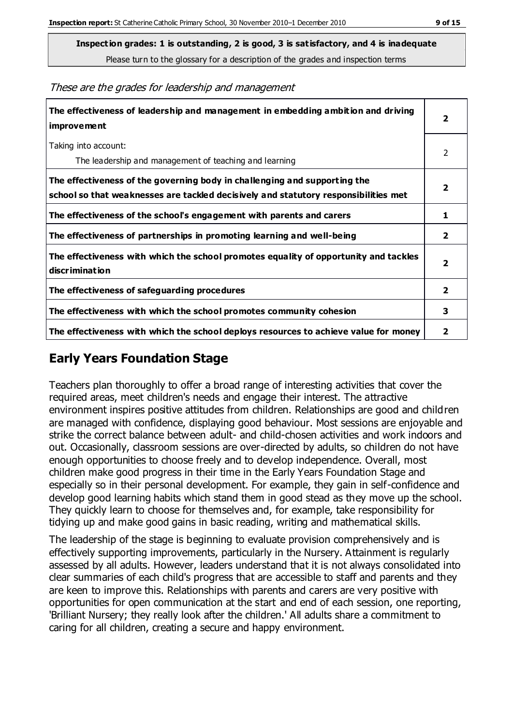**Inspection grades: 1 is outstanding, 2 is good, 3 is satisfactory, and 4 is inadequate**

Please turn to the glossary for a description of the grades and inspection terms

These are the grades for leadership and management

| The effectiveness of leadership and management in embedding ambition and driving<br>improvement                                                                  | 2                       |
|------------------------------------------------------------------------------------------------------------------------------------------------------------------|-------------------------|
| Taking into account:<br>The leadership and management of teaching and learning                                                                                   | 2                       |
| The effectiveness of the governing body in challenging and supporting the<br>school so that weaknesses are tackled decisively and statutory responsibilities met | 2                       |
| The effectiveness of the school's engagement with parents and carers                                                                                             | 1                       |
| The effectiveness of partnerships in promoting learning and well-being                                                                                           | $\overline{2}$          |
| The effectiveness with which the school promotes equality of opportunity and tackles<br>discrimination                                                           | $\overline{\mathbf{2}}$ |
| The effectiveness of safeguarding procedures                                                                                                                     | $\overline{2}$          |
| The effectiveness with which the school promotes community cohesion                                                                                              | 3                       |
| The effectiveness with which the school deploys resources to achieve value for money                                                                             | 2                       |

## **Early Years Foundation Stage**

Teachers plan thoroughly to offer a broad range of interesting activities that cover the required areas, meet children's needs and engage their interest. The attractive environment inspires positive attitudes from children. Relationships are good and children are managed with confidence, displaying good behaviour. Most sessions are enjoyable and strike the correct balance between adult- and child-chosen activities and work indoors and out. Occasionally, classroom sessions are over-directed by adults, so children do not have enough opportunities to choose freely and to develop independence. Overall, most children make good progress in their time in the Early Years Foundation Stage and especially so in their personal development. For example, they gain in self-confidence and develop good learning habits which stand them in good stead as they move up the school. They quickly learn to choose for themselves and, for example, take responsibility for tidying up and make good gains in basic reading, writing and mathematical skills.

The leadership of the stage is beginning to evaluate provision comprehensively and is effectively supporting improvements, particularly in the Nursery. Attainment is regularly assessed by all adults. However, leaders understand that it is not always consolidated into clear summaries of each child's progress that are accessible to staff and parents and they are keen to improve this. Relationships with parents and carers are very positive with opportunities for open communication at the start and end of each session, one reporting, 'Brilliant Nursery; they really look after the children.' All adults share a commitment to caring for all children, creating a secure and happy environment.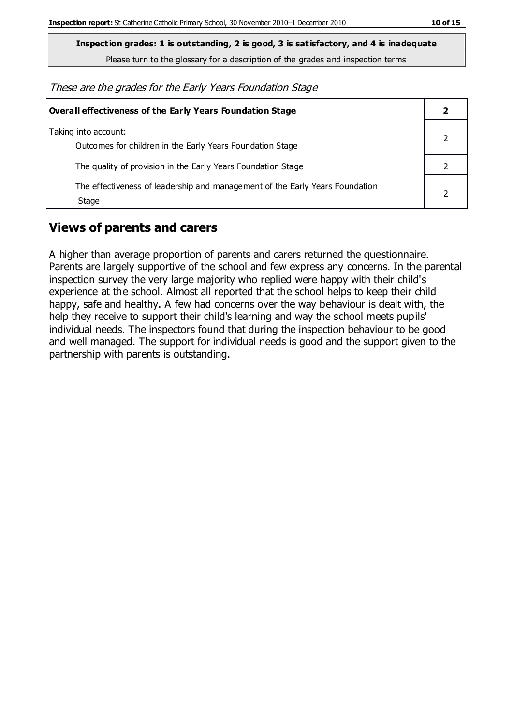**Inspection grades: 1 is outstanding, 2 is good, 3 is satisfactory, and 4 is inadequate**

Please turn to the glossary for a description of the grades and inspection terms

These are the grades for the Early Years Foundation Stage

| <b>Overall effectiveness of the Early Years Foundation Stage</b>                      |  |
|---------------------------------------------------------------------------------------|--|
| Taking into account:<br>Outcomes for children in the Early Years Foundation Stage     |  |
| The quality of provision in the Early Years Foundation Stage                          |  |
| The effectiveness of leadership and management of the Early Years Foundation<br>Stage |  |

## **Views of parents and carers**

A higher than average proportion of parents and carers returned the questionnaire. Parents are largely supportive of the school and few express any concerns. In the parental inspection survey the very large majority who replied were happy with their child's experience at the school. Almost all reported that the school helps to keep their child happy, safe and healthy. A few had concerns over the way behaviour is dealt with, the help they receive to support their child's learning and way the school meets pupils' individual needs. The inspectors found that during the inspection behaviour to be good and well managed. The support for individual needs is good and the support given to the partnership with parents is outstanding.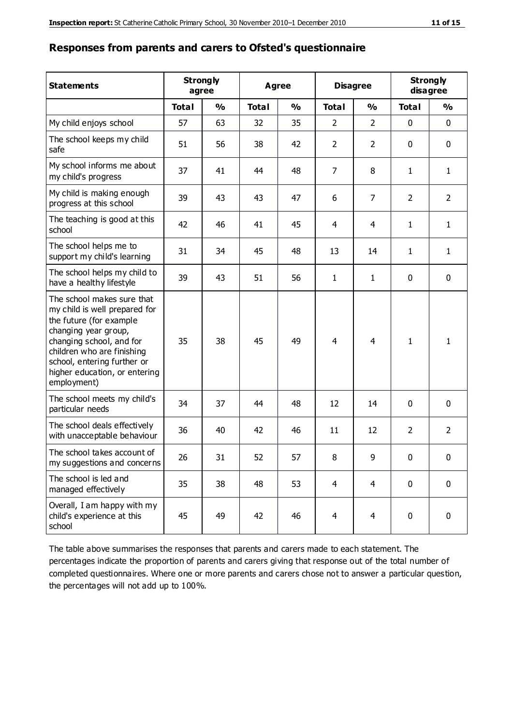#### **Responses from parents and carers to Ofsted's questionnaire**

| <b>Statements</b>                                                                                                                                                                                                                                       | <b>Strongly</b><br>agree |               | <b>Agree</b> |               | <b>Disagree</b> |                | <b>Strongly</b><br>disagree |                |
|---------------------------------------------------------------------------------------------------------------------------------------------------------------------------------------------------------------------------------------------------------|--------------------------|---------------|--------------|---------------|-----------------|----------------|-----------------------------|----------------|
|                                                                                                                                                                                                                                                         | <b>Total</b>             | $\frac{1}{2}$ | <b>Total</b> | $\frac{1}{2}$ | <b>Total</b>    | $\frac{1}{2}$  | <b>Total</b>                | $\frac{1}{2}$  |
| My child enjoys school                                                                                                                                                                                                                                  | 57                       | 63            | 32           | 35            | $\overline{2}$  | $\overline{2}$ | 0                           | $\mathbf 0$    |
| The school keeps my child<br>safe                                                                                                                                                                                                                       | 51                       | 56            | 38           | 42            | $\overline{2}$  | 2              | 0                           | $\mathbf 0$    |
| My school informs me about<br>my child's progress                                                                                                                                                                                                       | 37                       | 41            | 44           | 48            | 7               | 8              | 1                           | $\mathbf{1}$   |
| My child is making enough<br>progress at this school                                                                                                                                                                                                    | 39                       | 43            | 43           | 47            | 6               | $\overline{7}$ | $\overline{2}$              | $\overline{2}$ |
| The teaching is good at this<br>school                                                                                                                                                                                                                  | 42                       | 46            | 41           | 45            | 4               | $\overline{4}$ | $\mathbf{1}$                | $\mathbf{1}$   |
| The school helps me to<br>support my child's learning                                                                                                                                                                                                   | 31                       | 34            | 45           | 48            | 13              | 14             | $\mathbf{1}$                | $\mathbf{1}$   |
| The school helps my child to<br>have a healthy lifestyle                                                                                                                                                                                                | 39                       | 43            | 51           | 56            | $\mathbf{1}$    | $\mathbf{1}$   | $\mathbf 0$                 | $\mathbf 0$    |
| The school makes sure that<br>my child is well prepared for<br>the future (for example<br>changing year group,<br>changing school, and for<br>children who are finishing<br>school, entering further or<br>higher education, or entering<br>employment) | 35                       | 38            | 45           | 49            | $\overline{4}$  | 4              | $\mathbf{1}$                | 1              |
| The school meets my child's<br>particular needs                                                                                                                                                                                                         | 34                       | 37            | 44           | 48            | 12              | 14             | $\mathbf{0}$                | $\mathbf 0$    |
| The school deals effectively<br>with unacceptable behaviour                                                                                                                                                                                             | 36                       | 40            | 42           | 46            | 11              | 12             | $\overline{2}$              | $\overline{2}$ |
| The school takes account of<br>my suggestions and concerns                                                                                                                                                                                              | 26                       | 31            | 52           | 57            | 8               | 9              | $\pmb{0}$                   | 0              |
| The school is led and<br>managed effectively                                                                                                                                                                                                            | 35                       | 38            | 48           | 53            | $\overline{4}$  | $\overline{4}$ | $\mathbf 0$                 | $\mathbf 0$    |
| Overall, I am happy with my<br>child's experience at this<br>school                                                                                                                                                                                     | 45                       | 49            | 42           | 46            | $\overline{4}$  | $\overline{4}$ | $\mathbf 0$                 | $\mathbf 0$    |

The table above summarises the responses that parents and carers made to each statement. The percentages indicate the proportion of parents and carers giving that response out of the total number of completed questionnaires. Where one or more parents and carers chose not to answer a particular question, the percentages will not add up to 100%.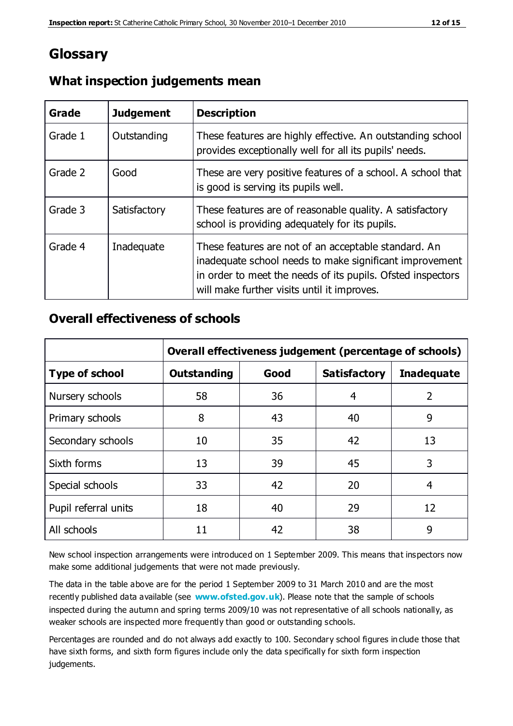# **Glossary**

| Grade   | <b>Judgement</b> | <b>Description</b>                                                                                                                                                                                                            |
|---------|------------------|-------------------------------------------------------------------------------------------------------------------------------------------------------------------------------------------------------------------------------|
| Grade 1 | Outstanding      | These features are highly effective. An outstanding school<br>provides exceptionally well for all its pupils' needs.                                                                                                          |
| Grade 2 | Good             | These are very positive features of a school. A school that<br>is good is serving its pupils well.                                                                                                                            |
| Grade 3 | Satisfactory     | These features are of reasonable quality. A satisfactory<br>school is providing adequately for its pupils.                                                                                                                    |
| Grade 4 | Inadequate       | These features are not of an acceptable standard. An<br>inadequate school needs to make significant improvement<br>in order to meet the needs of its pupils. Ofsted inspectors<br>will make further visits until it improves. |

## **What inspection judgements mean**

#### **Overall effectiveness of schools**

|                       | Overall effectiveness judgement (percentage of schools) |      |                     |                   |
|-----------------------|---------------------------------------------------------|------|---------------------|-------------------|
| <b>Type of school</b> | <b>Outstanding</b>                                      | Good | <b>Satisfactory</b> | <b>Inadequate</b> |
| Nursery schools       | 58                                                      | 36   | 4                   | 2                 |
| Primary schools       | 8                                                       | 43   | 40                  | 9                 |
| Secondary schools     | 10                                                      | 35   | 42                  | 13                |
| Sixth forms           | 13                                                      | 39   | 45                  | 3                 |
| Special schools       | 33                                                      | 42   | 20                  | 4                 |
| Pupil referral units  | 18                                                      | 40   | 29                  | 12                |
| All schools           | 11                                                      | 42   | 38                  | 9                 |

New school inspection arrangements were introduced on 1 September 2009. This means that inspectors now make some additional judgements that were not made previously.

The data in the table above are for the period 1 September 2009 to 31 March 2010 and are the most recently published data available (see **[www.ofsted.gov.uk](http://www.ofsted.gov.uk/)**). Please note that the sample of schools inspected during the autumn and spring terms 2009/10 was not representative of all schools nationally, as weaker schools are inspected more frequently than good or outstanding schools.

Percentages are rounded and do not always add exactly to 100. Secondary school figures in clude those that have sixth forms, and sixth form figures include only the data specifically for sixth form inspection judgements.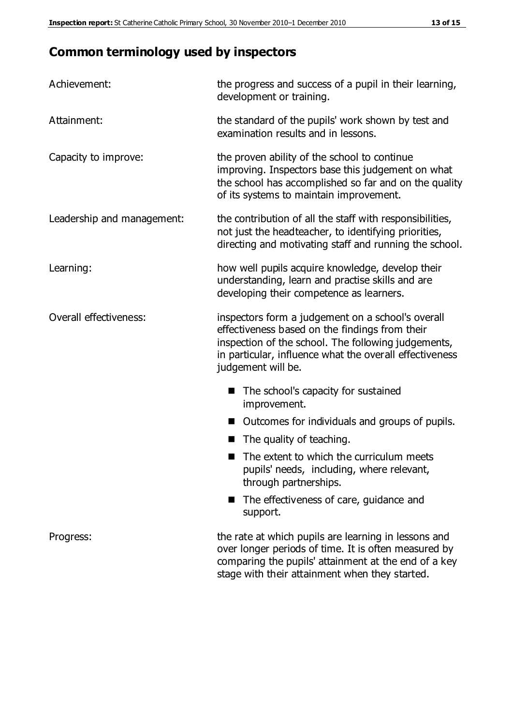# **Common terminology used by inspectors**

| Achievement:               | the progress and success of a pupil in their learning,<br>development or training.                                                                                                                                                          |  |
|----------------------------|---------------------------------------------------------------------------------------------------------------------------------------------------------------------------------------------------------------------------------------------|--|
| Attainment:                | the standard of the pupils' work shown by test and<br>examination results and in lessons.                                                                                                                                                   |  |
| Capacity to improve:       | the proven ability of the school to continue<br>improving. Inspectors base this judgement on what<br>the school has accomplished so far and on the quality<br>of its systems to maintain improvement.                                       |  |
| Leadership and management: | the contribution of all the staff with responsibilities,<br>not just the headteacher, to identifying priorities,<br>directing and motivating staff and running the school.                                                                  |  |
| Learning:                  | how well pupils acquire knowledge, develop their<br>understanding, learn and practise skills and are<br>developing their competence as learners.                                                                                            |  |
| Overall effectiveness:     | inspectors form a judgement on a school's overall<br>effectiveness based on the findings from their<br>inspection of the school. The following judgements,<br>in particular, influence what the overall effectiveness<br>judgement will be. |  |
|                            | The school's capacity for sustained<br>improvement.                                                                                                                                                                                         |  |
|                            | Outcomes for individuals and groups of pupils.                                                                                                                                                                                              |  |
|                            | The quality of teaching.                                                                                                                                                                                                                    |  |
|                            | The extent to which the curriculum meets<br>pupils' needs, including, where relevant,<br>through partnerships.                                                                                                                              |  |
|                            | The effectiveness of care, guidance and<br>support.                                                                                                                                                                                         |  |
| Progress:                  | the rate at which pupils are learning in lessons and<br>over longer periods of time. It is often measured by<br>comparing the pupils' attainment at the end of a key                                                                        |  |

stage with their attainment when they started.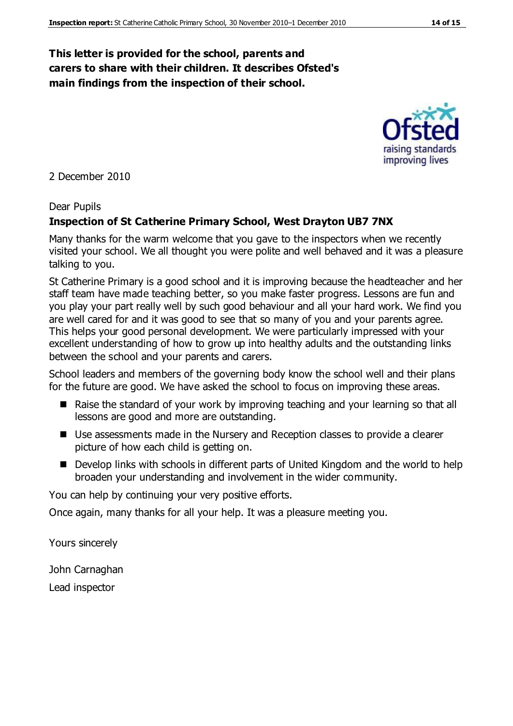#### **This letter is provided for the school, parents and carers to share with their children. It describes Ofsted's main findings from the inspection of their school.**

2 December 2010

#### Dear Pupils

#### **Inspection of St Catherine Primary School, West Drayton UB7 7NX**

Many thanks for the warm welcome that you gave to the inspectors when we recently visited your school. We all thought you were polite and well behaved and it was a pleasure talking to you.

St Catherine Primary is a good school and it is improving because the headteacher and her staff team have made teaching better, so you make faster progress. Lessons are fun and you play your part really well by such good behaviour and all your hard work. We find you are well cared for and it was good to see that so many of you and your parents agree. This helps your good personal development. We were particularly impressed with your excellent understanding of how to grow up into healthy adults and the outstanding links between the school and your parents and carers.

School leaders and members of the governing body know the school well and their plans for the future are good. We have asked the school to focus on improving these areas.

- Raise the standard of your work by improving teaching and your learning so that all lessons are good and more are outstanding.
- Use assessments made in the Nursery and Reception classes to provide a clearer picture of how each child is getting on.
- Develop links with schools in different parts of United Kingdom and the world to help broaden your understanding and involvement in the wider community.

You can help by continuing your very positive efforts.

Once again, many thanks for all your help. It was a pleasure meeting you.

Yours sincerely

John Carnaghan Lead inspector